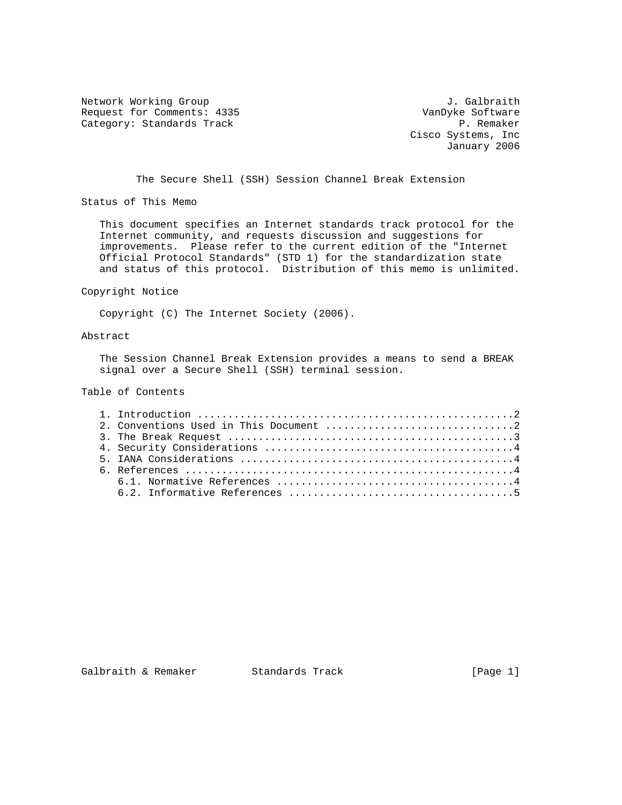Network Working Group and Alexander Controller and Alexander Controller and Alexander Controller and J. Galbraith Request for Comments: 4335 VanDyke Software<br>Category: Standards Track Category: P. Remaker Category: Standards Track

 Cisco Systems, Inc January 2006

The Secure Shell (SSH) Session Channel Break Extension

Status of This Memo

 This document specifies an Internet standards track protocol for the Internet community, and requests discussion and suggestions for improvements. Please refer to the current edition of the "Internet Official Protocol Standards" (STD 1) for the standardization state and status of this protocol. Distribution of this memo is unlimited.

#### Copyright Notice

Copyright (C) The Internet Society (2006).

### Abstract

 The Session Channel Break Extension provides a means to send a BREAK signal over a Secure Shell (SSH) terminal session.

# Table of Contents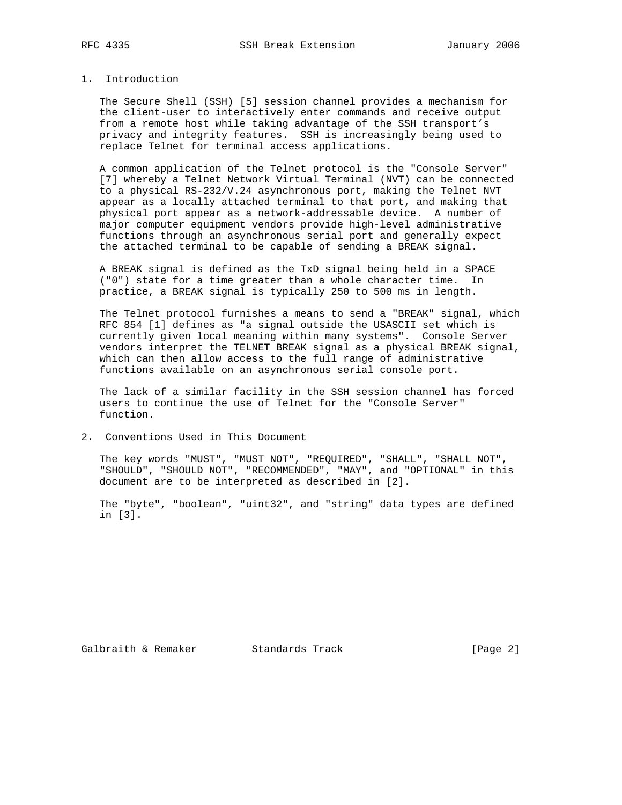### 1. Introduction

 The Secure Shell (SSH) [5] session channel provides a mechanism for the client-user to interactively enter commands and receive output from a remote host while taking advantage of the SSH transport's privacy and integrity features. SSH is increasingly being used to replace Telnet for terminal access applications.

 A common application of the Telnet protocol is the "Console Server" [7] whereby a Telnet Network Virtual Terminal (NVT) can be connected to a physical RS-232/V.24 asynchronous port, making the Telnet NVT appear as a locally attached terminal to that port, and making that physical port appear as a network-addressable device. A number of major computer equipment vendors provide high-level administrative functions through an asynchronous serial port and generally expect the attached terminal to be capable of sending a BREAK signal.

 A BREAK signal is defined as the TxD signal being held in a SPACE ("0") state for a time greater than a whole character time. In practice, a BREAK signal is typically 250 to 500 ms in length.

 The Telnet protocol furnishes a means to send a "BREAK" signal, which RFC 854 [1] defines as "a signal outside the USASCII set which is currently given local meaning within many systems". Console Server vendors interpret the TELNET BREAK signal as a physical BREAK signal, which can then allow access to the full range of administrative functions available on an asynchronous serial console port.

 The lack of a similar facility in the SSH session channel has forced users to continue the use of Telnet for the "Console Server" function.

2. Conventions Used in This Document

 The key words "MUST", "MUST NOT", "REQUIRED", "SHALL", "SHALL NOT", "SHOULD", "SHOULD NOT", "RECOMMENDED", "MAY", and "OPTIONAL" in this document are to be interpreted as described in [2].

 The "byte", "boolean", "uint32", and "string" data types are defined in [3].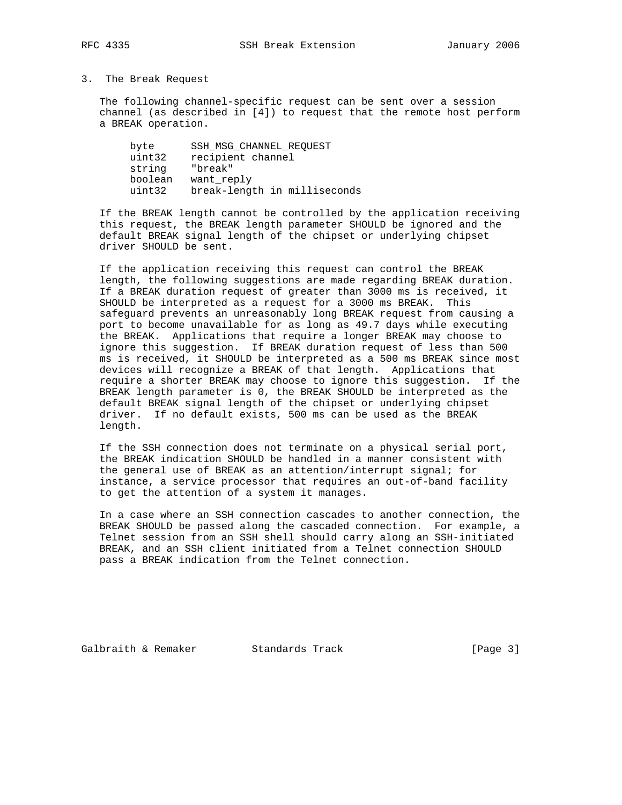### 3. The Break Request

 The following channel-specific request can be sent over a session channel (as described in [4]) to request that the remote host perform a BREAK operation.

| SSH MSG CHANNEL REOUEST      |
|------------------------------|
| recipient channel            |
| "break"                      |
| want reply                   |
| break-length in milliseconds |
|                              |

 If the BREAK length cannot be controlled by the application receiving this request, the BREAK length parameter SHOULD be ignored and the default BREAK signal length of the chipset or underlying chipset driver SHOULD be sent.

 If the application receiving this request can control the BREAK length, the following suggestions are made regarding BREAK duration. If a BREAK duration request of greater than 3000 ms is received, it SHOULD be interpreted as a request for a 3000 ms BREAK. This safeguard prevents an unreasonably long BREAK request from causing a port to become unavailable for as long as 49.7 days while executing the BREAK. Applications that require a longer BREAK may choose to ignore this suggestion. If BREAK duration request of less than 500 ms is received, it SHOULD be interpreted as a 500 ms BREAK since most devices will recognize a BREAK of that length. Applications that require a shorter BREAK may choose to ignore this suggestion. If the BREAK length parameter is 0, the BREAK SHOULD be interpreted as the default BREAK signal length of the chipset or underlying chipset driver. If no default exists, 500 ms can be used as the BREAK length.

 If the SSH connection does not terminate on a physical serial port, the BREAK indication SHOULD be handled in a manner consistent with the general use of BREAK as an attention/interrupt signal; for instance, a service processor that requires an out-of-band facility to get the attention of a system it manages.

 In a case where an SSH connection cascades to another connection, the BREAK SHOULD be passed along the cascaded connection. For example, a Telnet session from an SSH shell should carry along an SSH-initiated BREAK, and an SSH client initiated from a Telnet connection SHOULD pass a BREAK indication from the Telnet connection.

Galbraith & Remaker Standards Track [Page 3]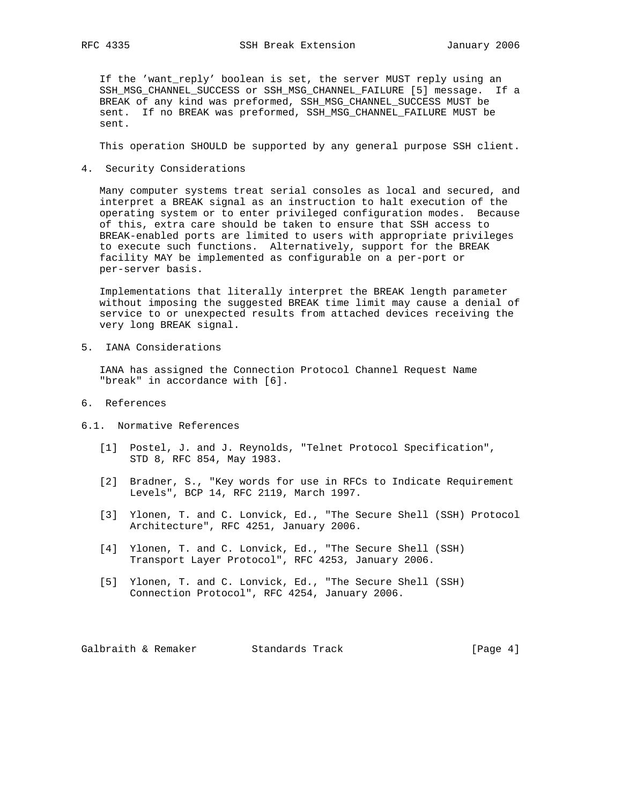If the 'want\_reply' boolean is set, the server MUST reply using an SSH\_MSG\_CHANNEL\_SUCCESS or SSH\_MSG\_CHANNEL\_FAILURE [5] message. If a BREAK of any kind was preformed, SSH\_MSG\_CHANNEL\_SUCCESS MUST be sent. If no BREAK was preformed, SSH\_MSG\_CHANNEL\_FAILURE MUST be sent.

This operation SHOULD be supported by any general purpose SSH client.

4. Security Considerations

 Many computer systems treat serial consoles as local and secured, and interpret a BREAK signal as an instruction to halt execution of the operating system or to enter privileged configuration modes. Because of this, extra care should be taken to ensure that SSH access to BREAK-enabled ports are limited to users with appropriate privileges to execute such functions. Alternatively, support for the BREAK facility MAY be implemented as configurable on a per-port or per-server basis.

 Implementations that literally interpret the BREAK length parameter without imposing the suggested BREAK time limit may cause a denial of service to or unexpected results from attached devices receiving the very long BREAK signal.

5. IANA Considerations

 IANA has assigned the Connection Protocol Channel Request Name "break" in accordance with [6].

- 6. References
- 6.1. Normative References
	- [1] Postel, J. and J. Reynolds, "Telnet Protocol Specification", STD 8, RFC 854, May 1983.
	- [2] Bradner, S., "Key words for use in RFCs to Indicate Requirement Levels", BCP 14, RFC 2119, March 1997.
	- [3] Ylonen, T. and C. Lonvick, Ed., "The Secure Shell (SSH) Protocol Architecture", RFC 4251, January 2006.
	- [4] Ylonen, T. and C. Lonvick, Ed., "The Secure Shell (SSH) Transport Layer Protocol", RFC 4253, January 2006.
	- [5] Ylonen, T. and C. Lonvick, Ed., "The Secure Shell (SSH) Connection Protocol", RFC 4254, January 2006.

Galbraith & Remaker Standards Track [Page 4]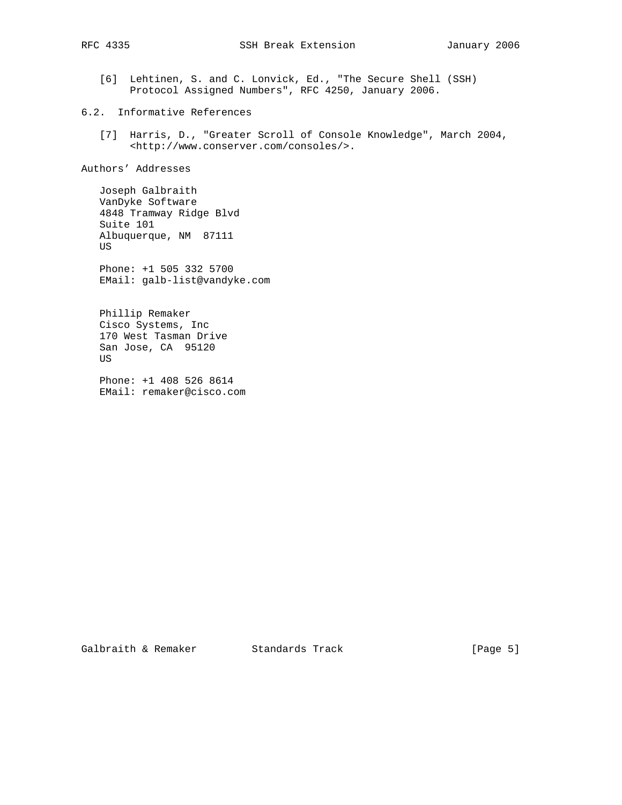[6] Lehtinen, S. and C. Lonvick, Ed., "The Secure Shell (SSH) Protocol Assigned Numbers", RFC 4250, January 2006.

# 6.2. Informative References

 [7] Harris, D., "Greater Scroll of Console Knowledge", March 2004, <http://www.conserver.com/consoles/>.

Authors' Addresses

 Joseph Galbraith VanDyke Software 4848 Tramway Ridge Blvd Suite 101 Albuquerque, NM 87111 US

 Phone: +1 505 332 5700 EMail: galb-list@vandyke.com

 Phillip Remaker Cisco Systems, Inc 170 West Tasman Drive San Jose, CA 95120 US

 Phone: +1 408 526 8614 EMail: remaker@cisco.com

Galbraith & Remaker Standards Track [Page 5]